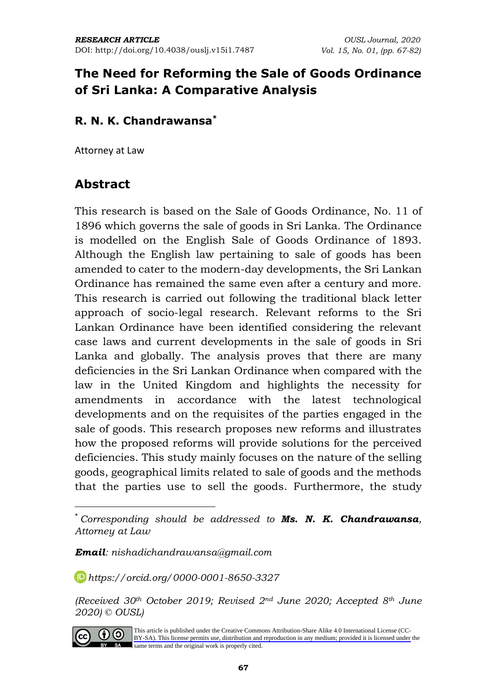## **The Need for Reforming the Sale of Goods Ordinance of Sri Lanka: A Comparative Analysis**

#### **R. N. K. Chandrawansa\***

Attorney at Law

### **Abstract**

This research is based on the Sale of Goods Ordinance, No. 11 of 1896 which governs the sale of goods in Sri Lanka. The Ordinance is modelled on the English Sale of Goods Ordinance of 1893. Although the English law pertaining to sale of goods has been amended to cater to the modern-day developments, the Sri Lankan Ordinance has remained the same even after a century and more. This research is carried out following the traditional black letter approach of socio-legal research. Relevant reforms to the Sri Lankan Ordinance have been identified considering the relevant case laws and current developments in the sale of goods in Sri Lanka and globally. The analysis proves that there are many deficiencies in the Sri Lankan Ordinance when compared with the law in the United Kingdom and highlights the necessity for amendments in accordance with the latest technological developments and on the requisites of the parties engaged in the sale of goods. This research proposes new reforms and illustrates how the proposed reforms will provide solutions for the perceived deficiencies. This study mainly focuses on the nature of the selling goods, geographical limits related to sale of goods and the methods that the parties use to sell the goods. Furthermore, the study

*Email: nishadichandrawansa@gmail.com*

*[https://orcid.org/0](https://orcid.org/)000-0001-8650-3327*

*(Received 30th October 2019; Revised 2nd June 2020; Accepted 8th June 2020) © OUSL)*



[This article is published under the Creative Commons Attribution-Share Alike 4.0 International License \(CC-](https://creativecommons.org/licenses/by-sa/4.0/)BY-SA). This license permits use, distribution and reproduction in any medium; provided it is licensed under the BY SA same terms and the original work is properly cited.

<sup>\*</sup> *Corresponding should be addressed to Ms. N. K. Chandrawansa, Attorney at Law*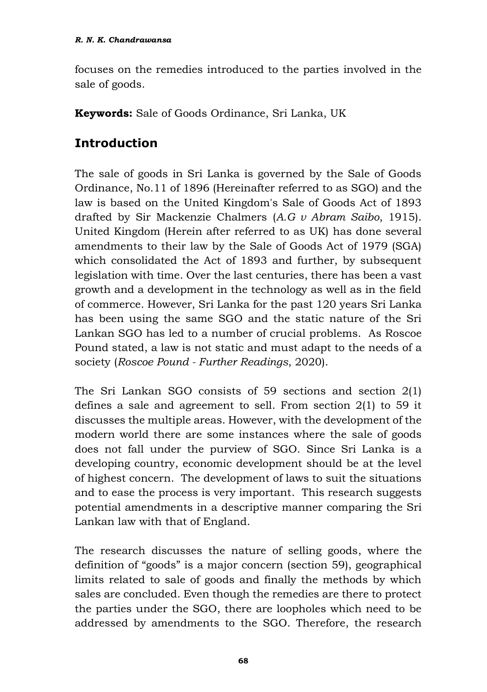focuses on the remedies introduced to the parties involved in the sale of goods.

**Keywords:** Sale of Goods Ordinance, Sri Lanka, UK

## **Introduction**

The sale of goods in Sri Lanka is governed by the Sale of Goods Ordinance, No.11 of 1896 (Hereinafter referred to as SGO) and the law is based on the United Kingdom's Sale of Goods Act of 1893 drafted by Sir Mackenzie Chalmers (*A.G v Abram Saibo*, 1915). United Kingdom (Herein after referred to as UK) has done several amendments to their law by the Sale of Goods Act of 1979 (SGA) which consolidated the Act of 1893 and further, by subsequent legislation with time. Over the last centuries, there has been a vast growth and a development in the technology as well as in the field of commerce. However, Sri Lanka for the past 120 years Sri Lanka has been using the same SGO and the static nature of the Sri Lankan SGO has led to a number of crucial problems. As Roscoe Pound stated, a law is not static and must adapt to the needs of a society (*Roscoe Pound - Further Readings*, 2020).

The Sri Lankan SGO consists of 59 sections and section 2(1) defines a sale and agreement to sell. From section 2(1) to 59 it discusses the multiple areas. However, with the development of the modern world there are some instances where the sale of goods does not fall under the purview of SGO. Since Sri Lanka is a developing country, economic development should be at the level of highest concern. The development of laws to suit the situations and to ease the process is very important. This research suggests potential amendments in a descriptive manner comparing the Sri Lankan law with that of England.

The research discusses the nature of selling goods, where the definition of "goods" is a major concern (section 59), geographical limits related to sale of goods and finally the methods by which sales are concluded. Even though the remedies are there to protect the parties under the SGO, there are loopholes which need to be addressed by amendments to the SGO. Therefore, the research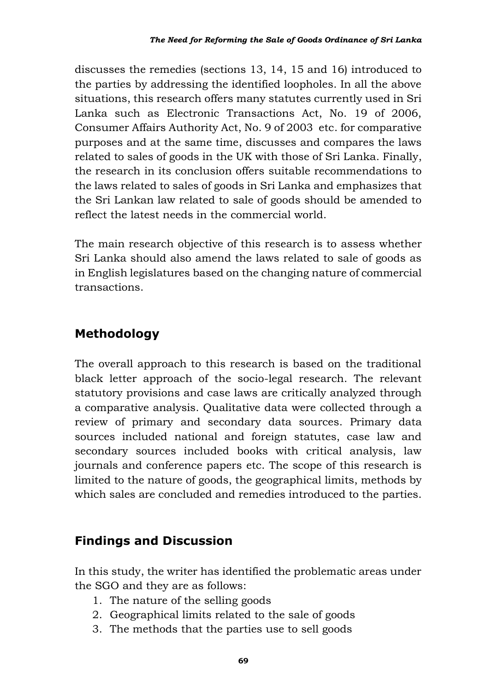discusses the remedies (sections 13, 14, 15 and 16) introduced to the parties by addressing the identified loopholes. In all the above situations, this research offers many statutes currently used in Sri Lanka such as Electronic Transactions Act, No. 19 of 2006, Consumer Affairs Authority Act, No. 9 of 2003 etc. for comparative purposes and at the same time, discusses and compares the laws related to sales of goods in the UK with those of Sri Lanka. Finally, the research in its conclusion offers suitable recommendations to the laws related to sales of goods in Sri Lanka and emphasizes that the Sri Lankan law related to sale of goods should be amended to reflect the latest needs in the commercial world.

The main research objective of this research is to assess whether Sri Lanka should also amend the laws related to sale of goods as in English legislatures based on the changing nature of commercial transactions.

# **Methodology**

The overall approach to this research is based on the traditional black letter approach of the socio-legal research. The relevant statutory provisions and case laws are critically analyzed through a comparative analysis. Qualitative data were collected through a review of primary and secondary data sources. Primary data sources included national and foreign statutes, case law and secondary sources included books with critical analysis, law journals and conference papers etc. The scope of this research is limited to the nature of goods, the geographical limits, methods by which sales are concluded and remedies introduced to the parties.

# **Findings and Discussion**

In this study, the writer has identified the problematic areas under the SGO and they are as follows:

- 1. The nature of the selling goods
- 2. Geographical limits related to the sale of goods
- 3. The methods that the parties use to sell goods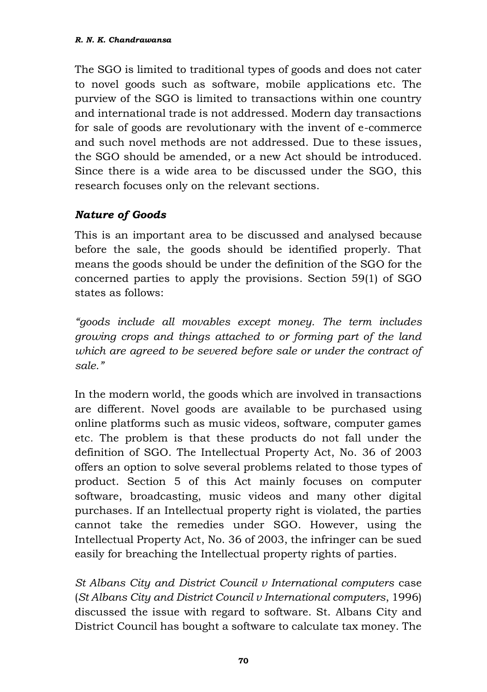The SGO is limited to traditional types of goods and does not cater to novel goods such as software, mobile applications etc. The purview of the SGO is limited to transactions within one country and international trade is not addressed. Modern day transactions for sale of goods are revolutionary with the invent of e-commerce and such novel methods are not addressed. Due to these issues, the SGO should be amended, or a new Act should be introduced. Since there is a wide area to be discussed under the SGO, this research focuses only on the relevant sections.

#### *Nature of Goods*

This is an important area to be discussed and analysed because before the sale, the goods should be identified properly. That means the goods should be under the definition of the SGO for the concerned parties to apply the provisions. Section 59(1) of SGO states as follows:

*"goods include all movables except money. The term includes growing crops and things attached to or forming part of the land which are agreed to be severed before sale or under the contract of sale."*

In the modern world, the goods which are involved in transactions are different. Novel goods are available to be purchased using online platforms such as music videos, software, computer games etc. The problem is that these products do not fall under the definition of SGO. The Intellectual Property Act, No. 36 of 2003 offers an option to solve several problems related to those types of product. Section 5 of this Act mainly focuses on computer software, broadcasting, music videos and many other digital purchases. If an Intellectual property right is violated, the parties cannot take the remedies under SGO. However, using the Intellectual Property Act, No. 36 of 2003, the infringer can be sued easily for breaching the Intellectual property rights of parties.

*St Albans City and District Council v International computers* case (*St Albans City and District Council v International computers*, 1996) discussed the issue with regard to software. St. Albans City and District Council has bought a software to calculate tax money. The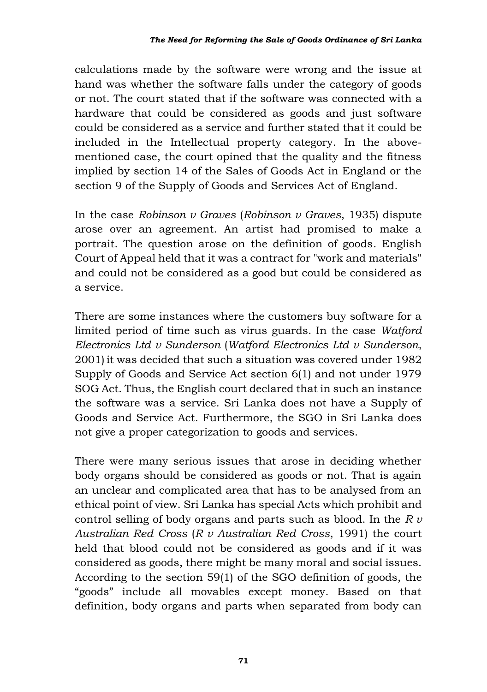calculations made by the software were wrong and the issue at hand was whether the software falls under the category of goods or not. The court stated that if the software was connected with a hardware that could be considered as goods and just software could be considered as a service and further stated that it could be included in the Intellectual property category. In the abovementioned case, the court opined that the quality and the fitness implied by section 14 of the Sales of Goods Act in England or the section 9 of the Supply of Goods and Services Act of England.

In the case *Robinson v Graves* (*Robinson v Graves*, 1935) dispute arose over an agreement. An artist had promised to make a portrait. The question arose on the definition of goods. English Court of Appeal held that it was a contract for "work and materials" and could not be considered as a good but could be considered as a service.

There are some instances where the customers buy software for a limited period of time such as virus guards. In the case *Watford Electronics Ltd v Sunderson* (*Watford Electronics Ltd v Sunderson*, 2001) it was decided that such a situation was covered under 1982 Supply of Goods and Service Act section 6(1) and not under 1979 SOG Act. Thus, the English court declared that in such an instance the software was a service. Sri Lanka does not have a Supply of Goods and Service Act. Furthermore, the SGO in Sri Lanka does not give a proper categorization to goods and services.

There were many serious issues that arose in deciding whether body organs should be considered as goods or not. That is again an unclear and complicated area that has to be analysed from an ethical point of view. Sri Lanka has special Acts which prohibit and control selling of body organs and parts such as blood. In the *R v Australian Red Cross* (*R v Australian Red Cross*, 1991) the court held that blood could not be considered as goods and if it was considered as goods, there might be many moral and social issues. According to the section 59(1) of the SGO definition of goods, the "goods" include all movables except money. Based on that definition, body organs and parts when separated from body can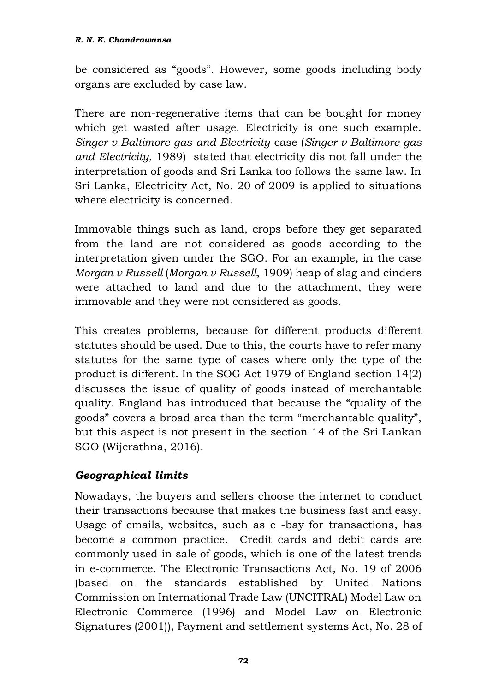be considered as "goods". However, some goods including body organs are excluded by case law.

There are non-regenerative items that can be bought for money which get wasted after usage. Electricity is one such example. *Singer v Baltimore gas and Electricity* case (*Singer v Baltimore gas and Electricity*, 1989) stated that electricity dis not fall under the interpretation of goods and Sri Lanka too follows the same law. In Sri Lanka, Electricity Act, No. 20 of 2009 is applied to situations where electricity is concerned.

Immovable things such as land, crops before they get separated from the land are not considered as goods according to the interpretation given under the SGO. For an example, in the case *Morgan v Russell* (*Morgan v Russell*, 1909) heap of slag and cinders were attached to land and due to the attachment, they were immovable and they were not considered as goods.

This creates problems, because for different products different statutes should be used. Due to this, the courts have to refer many statutes for the same type of cases where only the type of the product is different. In the SOG Act 1979 of England section 14(2) discusses the issue of quality of goods instead of merchantable quality. England has introduced that because the "quality of the goods" covers a broad area than the term "merchantable quality", but this aspect is not present in the section 14 of the Sri Lankan SGO (Wijerathna, 2016).

#### *Geographical limits*

Nowadays, the buyers and sellers choose the internet to conduct their transactions because that makes the business fast and easy. Usage of emails, websites, such as e -bay for transactions, has become a common practice. Credit cards and debit cards are commonly used in sale of goods, which is one of the latest trends in e-commerce. The Electronic Transactions Act, No. 19 of 2006 (based on the standards established by United Nations Commission on International Trade Law (UNCITRAL) Model Law on Electronic Commerce (1996) and Model Law on Electronic Signatures (2001)), Payment and settlement systems Act, No. 28 of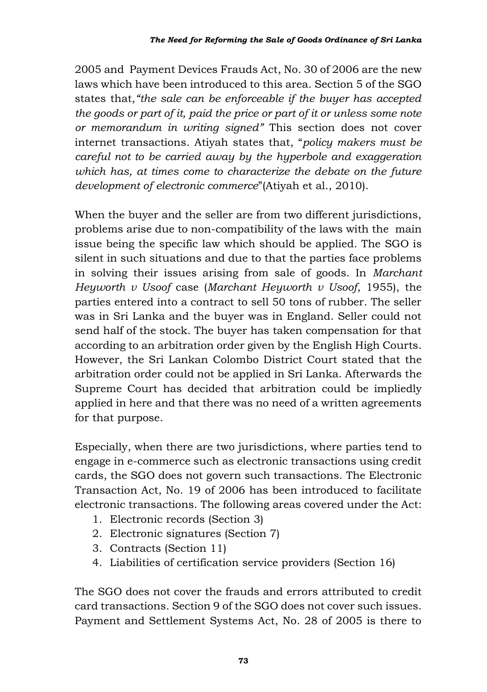2005 and Payment Devices Frauds Act, No. 30 of 2006 are the new laws which have been introduced to this area. Section 5 of the SGO states that,*"the sale can be enforceable if the buyer has accepted the goods or part of it, paid the price or part of it or unless some note or memorandum in writing signed"* This section does not cover internet transactions. Atiyah states that, "*policy makers must be careful not to be carried away by the hyperbole and exaggeration which has, at times come to characterize the debate on the future development of electronic commerce*"(Atiyah et al., 2010).

When the buyer and the seller are from two different jurisdictions, problems arise due to non-compatibility of the laws with the main issue being the specific law which should be applied. The SGO is silent in such situations and due to that the parties face problems in solving their issues arising from sale of goods. In *Marchant Heyworth v Usoof* case (*Marchant Heyworth v Usoof*, 1955), the parties entered into a contract to sell 50 tons of rubber. The seller was in Sri Lanka and the buyer was in England. Seller could not send half of the stock. The buyer has taken compensation for that according to an arbitration order given by the English High Courts. However, the Sri Lankan Colombo District Court stated that the arbitration order could not be applied in Sri Lanka. Afterwards the Supreme Court has decided that arbitration could be impliedly applied in here and that there was no need of a written agreements for that purpose.

Especially, when there are two jurisdictions, where parties tend to engage in e-commerce such as electronic transactions using credit cards, the SGO does not govern such transactions. The Electronic Transaction Act, No. 19 of 2006 has been introduced to facilitate electronic transactions. The following areas covered under the Act:

- 1. Electronic records (Section 3)
- 2. Electronic signatures (Section 7)
- 3. Contracts (Section 11)
- 4. Liabilities of certification service providers (Section 16)

The SGO does not cover the frauds and errors attributed to credit card transactions. Section 9 of the SGO does not cover such issues. Payment and Settlement Systems Act, No. 28 of 2005 is there to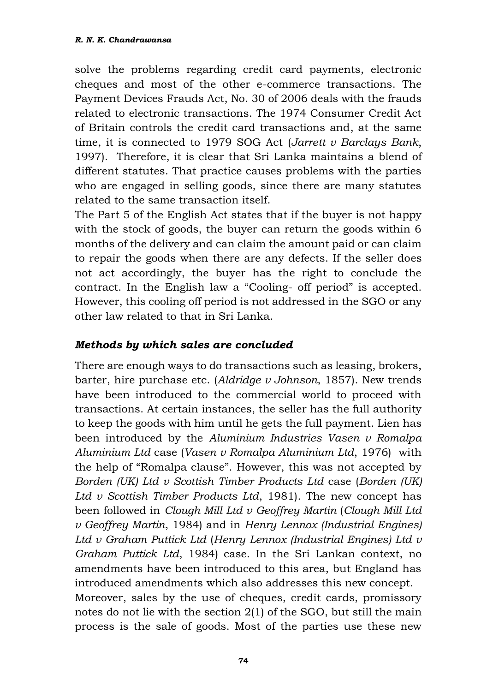solve the problems regarding credit card payments, electronic cheques and most of the other e-commerce transactions. The Payment Devices Frauds Act, No. 30 of 2006 deals with the frauds related to electronic transactions. The 1974 Consumer Credit Act of Britain controls the credit card transactions and, at the same time, it is connected to 1979 SOG Act (*Jarrett v Barclays Bank*, 1997). Therefore, it is clear that Sri Lanka maintains a blend of different statutes. That practice causes problems with the parties who are engaged in selling goods, since there are many statutes related to the same transaction itself.

The Part 5 of the English Act states that if the buyer is not happy with the stock of goods, the buyer can return the goods within 6 months of the delivery and can claim the amount paid or can claim to repair the goods when there are any defects. If the seller does not act accordingly, the buyer has the right to conclude the contract. In the English law a "Cooling- off period" is accepted. However, this cooling off period is not addressed in the SGO or any other law related to that in Sri Lanka.

#### *Methods by which sales are concluded*

There are enough ways to do transactions such as leasing, brokers, barter, hire purchase etc. (*Aldridge v Johnson*, 1857). New trends have been introduced to the commercial world to proceed with transactions. At certain instances, the seller has the full authority to keep the goods with him until he gets the full payment. Lien has been introduced by the *Aluminium Industries Vasen v Romalpa Aluminium Ltd* case (*Vasen v Romalpa Aluminium Ltd*, 1976) with the help of "Romalpa clause". However, this was not accepted by *Borden (UK) Ltd v Scottish Timber Products Ltd* case (*Borden (UK) Ltd v Scottish Timber Products Ltd*, 1981). The new concept has been followed in *Clough Mill Ltd v Geoffrey Martin* (*Clough Mill Ltd v Geoffrey Martin*, 1984) and in *Henry Lennox (Industrial Engines) Ltd v Graham Puttick Ltd* (*Henry Lennox (Industrial Engines) Ltd v Graham Puttick Ltd*, 1984) case. In the Sri Lankan context, no amendments have been introduced to this area, but England has introduced amendments which also addresses this new concept. Moreover, sales by the use of cheques, credit cards, promissory notes do not lie with the section 2(1) of the SGO, but still the main process is the sale of goods. Most of the parties use these new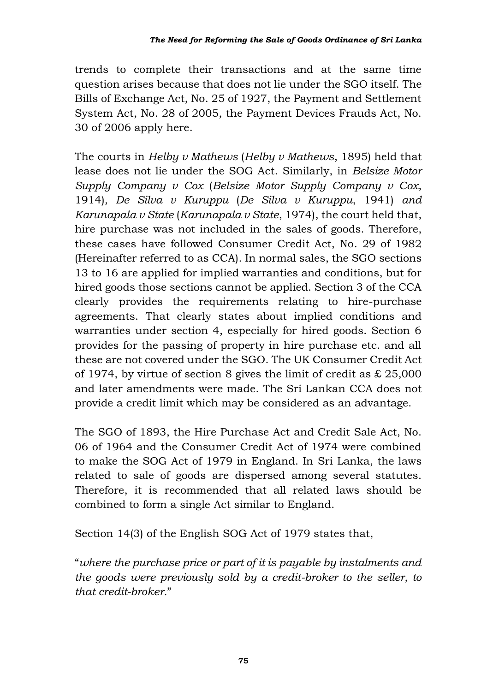trends to complete their transactions and at the same time question arises because that does not lie under the SGO itself. The Bills of Exchange Act, No. 25 of 1927, the Payment and Settlement System Act, No. 28 of 2005, the Payment Devices Frauds Act, No. 30 of 2006 apply here.

The courts in *Helby v Mathews* (*Helby v Mathews*, 1895) held that lease does not lie under the SOG Act. Similarly, in *Belsize Motor Supply Company v Cox* (*Belsize Motor Supply Company v Cox*, 1914)*, De Silva v Kuruppu* (*De Silva v Kuruppu*, 1941) *and Karunapala v State* (*Karunapala v State*, 1974), the court held that, hire purchase was not included in the sales of goods. Therefore, these cases have followed Consumer Credit Act, No. 29 of 1982 (Hereinafter referred to as CCA). In normal sales, the SGO sections 13 to 16 are applied for implied warranties and conditions, but for hired goods those sections cannot be applied. Section 3 of the CCA clearly provides the requirements relating to hire-purchase agreements. That clearly states about implied conditions and warranties under section 4, especially for hired goods. Section 6 provides for the passing of property in hire purchase etc. and all these are not covered under the SGO. The UK Consumer Credit Act of 1974, by virtue of section 8 gives the limit of credit as  $\&$  25,000 and later amendments were made. The Sri Lankan CCA does not provide a credit limit which may be considered as an advantage.

The SGO of 1893, the Hire Purchase Act and Credit Sale Act, No. 06 of 1964 and the Consumer Credit Act of 1974 were combined to make the SOG Act of 1979 in England. In Sri Lanka, the laws related to sale of goods are dispersed among several statutes. Therefore, it is recommended that all related laws should be combined to form a single Act similar to England.

Section 14(3) of the English SOG Act of 1979 states that,

"*where the purchase price or part of it is payable by instalments and the goods were previously sold by a credit-broker to the seller, to that credit-broker.*"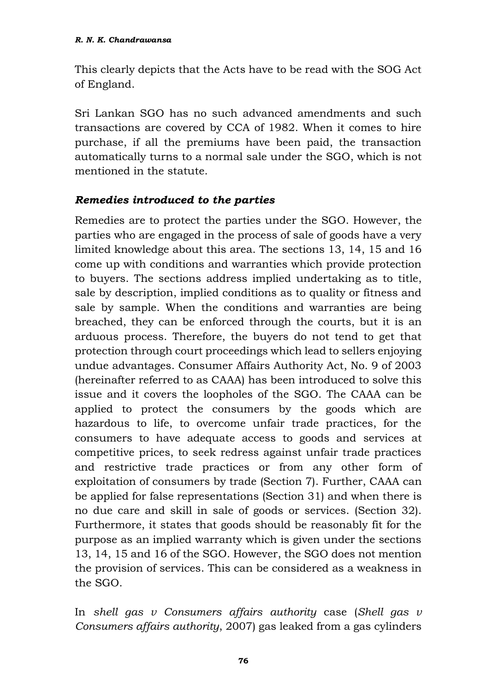This clearly depicts that the Acts have to be read with the SOG Act of England.

Sri Lankan SGO has no such advanced amendments and such transactions are covered by CCA of 1982. When it comes to hire purchase, if all the premiums have been paid, the transaction automatically turns to a normal sale under the SGO, which is not mentioned in the statute.

#### *Remedies introduced to the parties*

Remedies are to protect the parties under the SGO. However, the parties who are engaged in the process of sale of goods have a very limited knowledge about this area. The sections 13, 14, 15 and 16 come up with conditions and warranties which provide protection to buyers. The sections address implied undertaking as to title, sale by description, implied conditions as to quality or fitness and sale by sample. When the conditions and warranties are being breached, they can be enforced through the courts, but it is an arduous process. Therefore, the buyers do not tend to get that protection through court proceedings which lead to sellers enjoying undue advantages. Consumer Affairs Authority Act, No. 9 of 2003 (hereinafter referred to as CAAA) has been introduced to solve this issue and it covers the loopholes of the SGO. The CAAA can be applied to protect the consumers by the goods which are hazardous to life, to overcome unfair trade practices, for the consumers to have adequate access to goods and services at competitive prices, to seek redress against unfair trade practices and restrictive trade practices or from any other form of exploitation of consumers by trade (Section 7). Further, CAAA can be applied for false representations (Section 31) and when there is no due care and skill in sale of goods or services. (Section 32). Furthermore, it states that goods should be reasonably fit for the purpose as an implied warranty which is given under the sections 13, 14, 15 and 16 of the SGO. However, the SGO does not mention the provision of services. This can be considered as a weakness in the SGO.

In *shell gas v Consumers affairs authority* case (*Shell gas v Consumers affairs authority*, 2007) gas leaked from a gas cylinders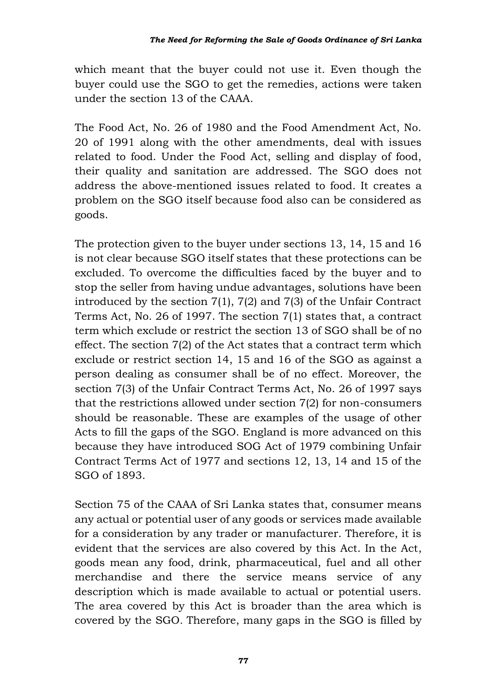which meant that the buyer could not use it. Even though the buyer could use the SGO to get the remedies, actions were taken under the section 13 of the CAAA.

The Food Act, No. 26 of 1980 and the Food Amendment Act, No. 20 of 1991 along with the other amendments, deal with issues related to food. Under the Food Act, selling and display of food, their quality and sanitation are addressed. The SGO does not address the above-mentioned issues related to food. It creates a problem on the SGO itself because food also can be considered as goods.

The protection given to the buyer under sections 13, 14, 15 and 16 is not clear because SGO itself states that these protections can be excluded. To overcome the difficulties faced by the buyer and to stop the seller from having undue advantages, solutions have been introduced by the section 7(1), 7(2) and 7(3) of the Unfair Contract Terms Act, No. 26 of 1997. The section 7(1) states that, a contract term which exclude or restrict the section 13 of SGO shall be of no effect. The section 7(2) of the Act states that a contract term which exclude or restrict section 14, 15 and 16 of the SGO as against a person dealing as consumer shall be of no effect. Moreover, the section 7(3) of the Unfair Contract Terms Act, No. 26 of 1997 says that the restrictions allowed under section 7(2) for non-consumers should be reasonable. These are examples of the usage of other Acts to fill the gaps of the SGO. England is more advanced on this because they have introduced SOG Act of 1979 combining Unfair Contract Terms Act of 1977 and sections 12, 13, 14 and 15 of the SGO of 1893.

Section 75 of the CAAA of Sri Lanka states that, consumer means any actual or potential user of any goods or services made available for a consideration by any trader or manufacturer. Therefore, it is evident that the services are also covered by this Act. In the Act, goods mean any food, drink, pharmaceutical, fuel and all other merchandise and there the service means service of any description which is made available to actual or potential users. The area covered by this Act is broader than the area which is covered by the SGO*.* Therefore, many gaps in the SGO is filled by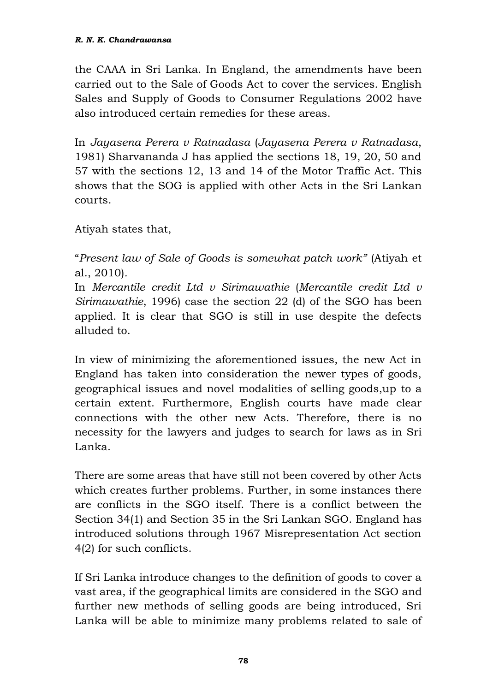the CAAA in Sri Lanka. In England, the amendments have been carried out to the Sale of Goods Act to cover the services. English Sales and Supply of Goods to Consumer Regulations 2002 have also introduced certain remedies for these areas.

In *Jayasena Perera v Ratnadasa* (*Jayasena Perera v Ratnadasa*, 1981) Sharvananda J has applied the sections 18, 19, 20, 50 and 57 with the sections 12, 13 and 14 of the Motor Traffic Act. This shows that the SOG is applied with other Acts in the Sri Lankan courts.

Atiyah states that,

"*Present law of Sale of Goods is somewhat patch work"* (Atiyah et al., 2010)*.* 

In *Mercantile credit Ltd v Sirimawathie* (*Mercantile credit Ltd v Sirimawathie*, 1996) case the section 22 (d) of the SGO has been applied. It is clear that SGO is still in use despite the defects alluded to.

In view of minimizing the aforementioned issues, the new Act in England has taken into consideration the newer types of goods, geographical issues and novel modalities of selling goods,up to a certain extent. Furthermore, English courts have made clear connections with the other new Acts. Therefore, there is no necessity for the lawyers and judges to search for laws as in Sri Lanka.

There are some areas that have still not been covered by other Acts which creates further problems. Further, in some instances there are conflicts in the SGO itself. There is a conflict between the Section 34(1) and Section 35 in the Sri Lankan SGO. England has introduced solutions through 1967 Misrepresentation Act section 4(2) for such conflicts.

If Sri Lanka introduce changes to the definition of goods to cover a vast area, if the geographical limits are considered in the SGO and further new methods of selling goods are being introduced, Sri Lanka will be able to minimize many problems related to sale of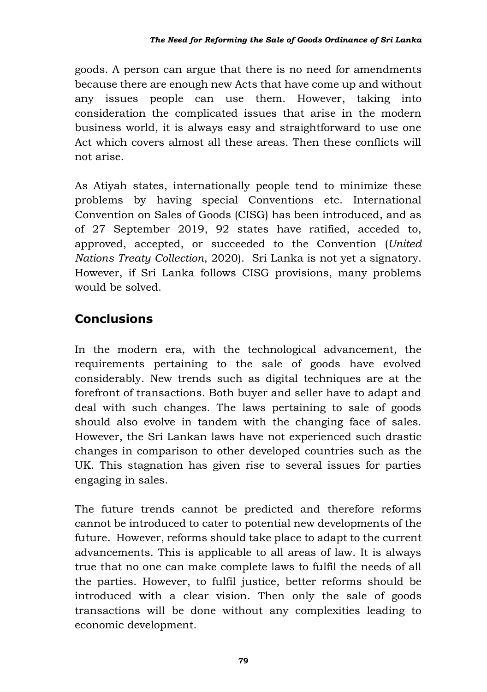goods. A person can argue that there is no need for amendments because there are enough new Acts that have come up and without any issues people can use them. However, taking into consideration the complicated issues that arise in the modern business world, it is always easy and straightforward to use one Act which covers almost all these areas. Then these conflicts will not arise.

As Atiyah states, internationally people tend to minimize these problems by having special Conventions etc. International Convention on Sales of Goods (CISG) has been introduced, and as of 27 September 2019, 92 states have ratified, acceded to, approved, accepted, or succeeded to the Convention (*United Nations Treaty Collection*, 2020). Sri Lanka is not yet a signatory. However, if Sri Lanka follows CISG provisions, many problems would be solved.

# **Conclusions**

In the modern era, with the technological advancement, the requirements pertaining to the sale of goods have evolved considerably. New trends such as digital techniques are at the forefront of transactions. Both buyer and seller have to adapt and deal with such changes. The laws pertaining to sale of goods should also evolve in tandem with the changing face of sales. However, the Sri Lankan laws have not experienced such drastic changes in comparison to other developed countries such as the UK. This stagnation has given rise to several issues for parties engaging in sales.

The future trends cannot be predicted and therefore reforms cannot be introduced to cater to potential new developments of the future. However, reforms should take place to adapt to the current advancements. This is applicable to all areas of law. It is always true that no one can make complete laws to fulfil the needs of all the parties. However, to fulfil justice, better reforms should be introduced with a clear vision. Then only the sale of goods transactions will be done without any complexities leading to economic development.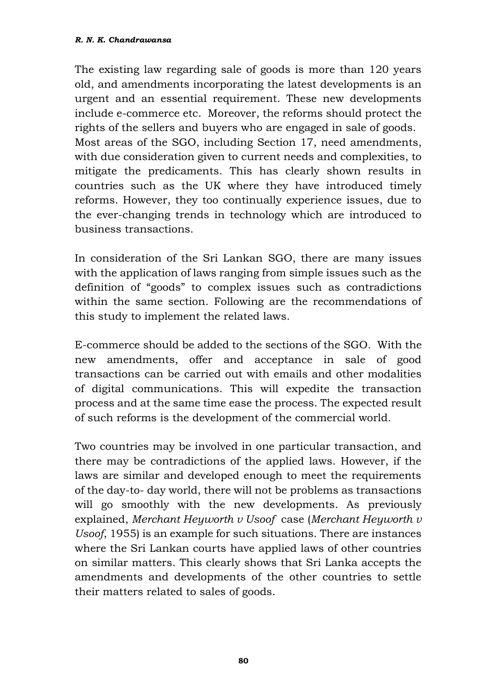The existing law regarding sale of goods is more than 120 years old, and amendments incorporating the latest developments is an urgent and an essential requirement. These new developments include e-commerce etc. Moreover, the reforms should protect the rights of the sellers and buyers who are engaged in sale of goods. Most areas of the SGO, including Section 17, need amendments, with due consideration given to current needs and complexities, to mitigate the predicaments. This has clearly shown results in countries such as the UK where they have introduced timely reforms. However, they too continually experience issues, due to the ever-changing trends in technology which are introduced to business transactions.

In consideration of the Sri Lankan SGO, there are many issues with the application of laws ranging from simple issues such as the definition of "goods" to complex issues such as contradictions within the same section. Following are the recommendations of this study to implement the related laws.

E-commerce should be added to the sections of the SGO. With the new amendments, offer and acceptance in sale of good transactions can be carried out with emails and other modalities of digital communications. This will expedite the transaction process and at the same time ease the process. The expected result of such reforms is the development of the commercial world.

Two countries may be involved in one particular transaction, and there may be contradictions of the applied laws. However, if the laws are similar and developed enough to meet the requirements of the day-to- day world, there will not be problems as transactions will go smoothly with the new developments. As previously explained, *Merchant Heyworth v Usoof* case (*Merchant Heyworth v Usoof*, 1955) is an example for such situations. There are instances where the Sri Lankan courts have applied laws of other countries on similar matters. This clearly shows that Sri Lanka accepts the amendments and developments of the other countries to settle their matters related to sales of goods.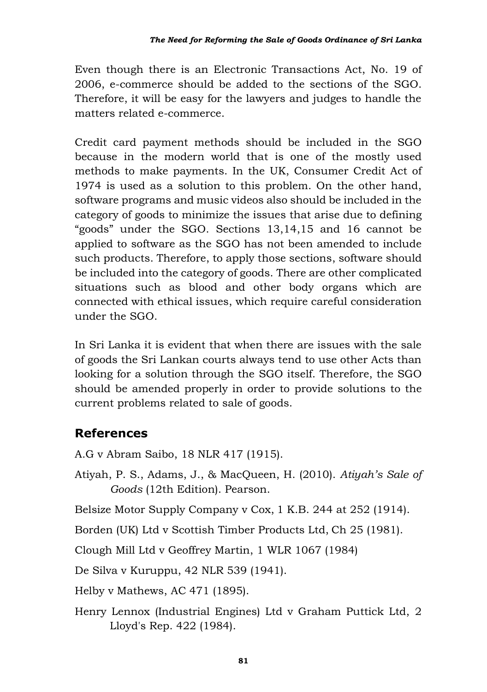Even though there is an Electronic Transactions Act, No. 19 of 2006, e-commerce should be added to the sections of the SGO. Therefore, it will be easy for the lawyers and judges to handle the matters related e-commerce.

Credit card payment methods should be included in the SGO because in the modern world that is one of the mostly used methods to make payments. In the UK, Consumer Credit Act of 1974 is used as a solution to this problem. On the other hand, software programs and music videos also should be included in the category of goods to minimize the issues that arise due to defining "goods" under the SGO. Sections 13,14,15 and 16 cannot be applied to software as the SGO has not been amended to include such products. Therefore, to apply those sections, software should be included into the category of goods. There are other complicated situations such as blood and other body organs which are connected with ethical issues, which require careful consideration under the SGO.

In Sri Lanka it is evident that when there are issues with the sale of goods the Sri Lankan courts always tend to use other Acts than looking for a solution through the SGO itself. Therefore, the SGO should be amended properly in order to provide solutions to the current problems related to sale of goods.

### **References**

A.G v Abram Saibo, 18 NLR 417 (1915).

- Atiyah, P. S., Adams, J., & MacQueen, H. (2010). *Atiyah's Sale of Goods* (12th Edition). Pearson.
- Belsize Motor Supply Company v Cox, 1 K.B. 244 at 252 (1914).
- Borden (UK) Ltd v Scottish Timber Products Ltd, Ch 25 (1981).

Clough Mill Ltd v Geoffrey Martin, 1 WLR 1067 (1984)

De Silva v Kuruppu, 42 NLR 539 (1941).

Helby v Mathews, AC 471 (1895).

Henry Lennox (Industrial Engines) Ltd v Graham Puttick Ltd, 2 Lloyd's Rep. 422 (1984).